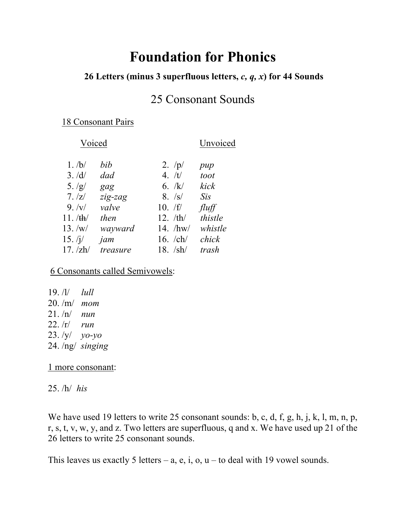# **Foundation for Phonics**

### **26 Letters (minus 3 superfluous letters,** *c, q, x***) for 44 Sounds**

### 25 Consonant Sounds

#### 18 Consonant Pairs

#### Voiced Unvoiced

| $1.$ /b/  | bib      | 2. $/p/$                        | pup     |
|-----------|----------|---------------------------------|---------|
| 3. /d/    | dad      | 4. $/t/$                        | toot    |
| 5. /g/    | gag      | 6. $/k/$                        | kick    |
| 7.7z/     | zig-zag  | 8. /s/                          | Sis     |
| 9. /v/    | valve    | 10. /f/                         | fluff   |
| 11. /th/  | then     | 12. /th/                        | thistle |
| 13. /w/   | wayward  | 14. $/hw/$                      | whistle |
| 15. $/j/$ | jam      | 16. $\mathbb{C}$ h $\mathbb{C}$ | chick   |
| 17. /zh/  | treasure | 18. $/\frac{sh}{ }$             | trash   |

6 Consonants called Semivowels:

19. /l/ *lull* 20. /m/ *mom* 21. /n/ *nun* 22. /r/ *run* 23. /y/ *yo-yo* 24. /ng/ *singing*

#### 1 more consonant:

25. /h/ *his* 

We have used 19 letters to write 25 consonant sounds: b, c, d, f, g, h, j, k, l, m, n, p, r, s, t, v, w, y, and z. Two letters are superfluous, q and x. We have used up 21 of the 26 letters to write 25 consonant sounds.

This leaves us exactly 5 letters – a, e, i, o,  $u$  – to deal with 19 vowel sounds.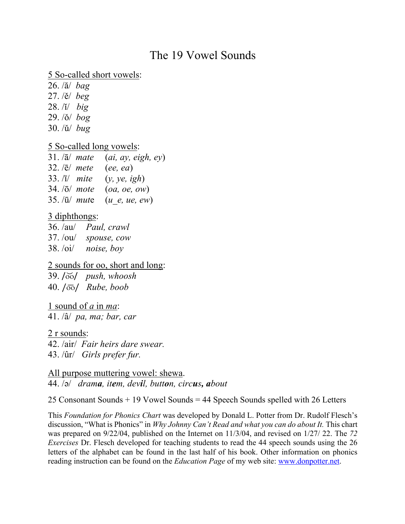## The 19 Vowel Sounds

5 So-called short vowels:

26. /ă/ *bag* 27. /ě/ *beg* 28. /ĭ/ *big* 29. /ǒ/ *bog* 30. /ǔ/ *bug*

#### 5 So-called long vowels:

|                         | 31. $\sqrt{a}$ mate (ai, ay, eigh, ey) |
|-------------------------|----------------------------------------|
| $32.$ / $\bar{e}$ mete  | (ee, ea)                               |
|                         | 33. $\overline{a}$ mite $(y, ye, igh)$ |
| $34.7\overline{o}$ mote | (oa, oe, ow)                           |
|                         | 35. $\sqrt{u}$ mute $(u e, ue, ew)$    |
|                         |                                        |

### 3 diphthongs:

36. /au/ *Paul, crawl* 37. /ou/ *spouse, cow* 38. /oi/ *noise, boy*

2 sounds for oo, short and long: 39. /o͝o/ *push, whoosh*

40. /o͞o/ *Rube, boob*

1 sound of *a* in *ma*:

41. /â/ *pa, ma; bar, car*

2 r sounds:

42. /air/ *Fair heirs dare swear.* 43. /ûr/ *Girls prefer fur.*

All purpose muttering vowel: shewa. 44. /ə/ *drama, item, devil, button, circus, about*

25 Consonant Sounds + 19 Vowel Sounds = 44 Speech Sounds spelled with 26 Letters

This *Foundation for Phonics Chart* was developed by Donald L. Potter from Dr. Rudolf Flesch's discussion, "What is Phonics" in *Why Johnny Can't Read and what you can do about It.* This chart was prepared on 9/22/04, published on the Internet on 11/3/04, and revised on 1/27/ 22. The *72 Exercises* Dr. Flesch developed for teaching students to read the 44 speech sounds using the 26 letters of the alphabet can be found in the last half of his book. Other information on phonics reading instruction can be found on the *Education Page* of my web site: www.donpotter.net.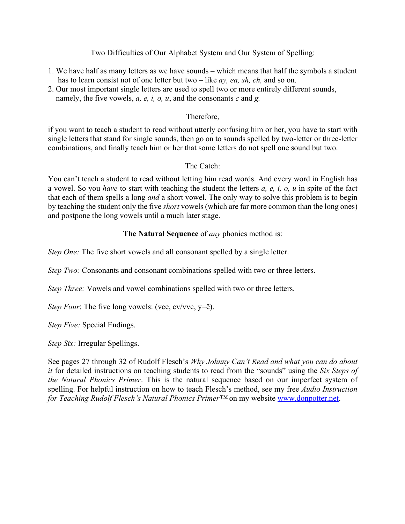#### Two Difficulties of Our Alphabet System and Our System of Spelling:

- 1. We have half as many letters as we have sounds which means that half the symbols a student has to learn consist not of one letter but two – like *ay, ea, sh, ch,* and so on.
- 2. Our most important single letters are used to spell two or more entirely different sounds, namely, the five vowels, *a, e, i, o, u*, and the consonants *c* and *g.*

#### Therefore,

if you want to teach a student to read without utterly confusing him or her, you have to start with single letters that stand for single sounds, then go on to sounds spelled by two-letter or three-letter combinations, and finally teach him or her that some letters do not spell one sound but two.

#### The Catch:

You can't teach a student to read without letting him read words. And every word in English has a vowel. So you *have* to start with teaching the student the letters *a, e, i, o, u* in spite of the fact that each of them spells a long *and* a short vowel. The only way to solve this problem is to begin by teaching the student only the five *short* vowels (which are far more common than the long ones) and postpone the long vowels until a much later stage.

#### **The Natural Sequence** of *any* phonics method is:

*Step One:* The five short vowels and all consonant spelled by a single letter.

*Step Two:* Consonants and consonant combinations spelled with two or three letters.

*Step Three:* Vowels and vowel combinations spelled with two or three letters.

*Step Four*: The five long vowels: (vce, cv/vvc, y= $\bar{e}$ ).

*Step Five:* Special Endings.

*Step Six:* Irregular Spellings.

See pages 27 through 32 of Rudolf Flesch's *Why Johnny Can't Read and what you can do about it* for detailed instructions on teaching students to read from the "sounds" using the *Six Steps of the Natural Phonics Primer*. This is the natural sequence based on our imperfect system of spelling. For helpful instruction on how to teach Flesch's method, see my free *Audio Instruction for Teaching Rudolf Flesch's Natural Phonics Primer™* on my website www.donpotter.net.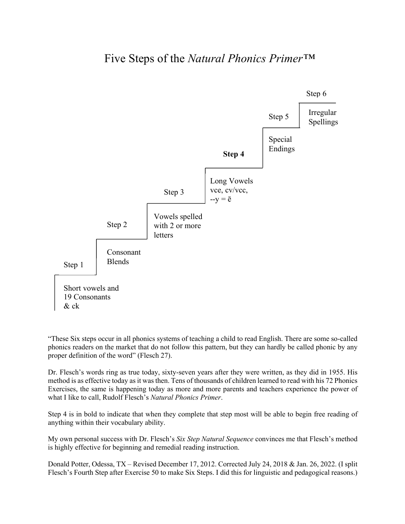### Five Steps of the *Natural Phonics Primer™*



"These Six steps occur in all phonics systems of teaching a child to read English. There are some so-called phonics readers on the market that do not follow this pattern, but they can hardly be called phonic by any proper definition of the word" (Flesch 27).

Dr. Flesch's words ring as true today, sixty-seven years after they were written, as they did in 1955. His method is as effective today as it was then. Tens of thousands of children learned to read with his 72 Phonics Exercises, the same is happening today as more and more parents and teachers experience the power of what I like to call, Rudolf Flesch's *Natural Phonics Primer*.

Step 4 is in bold to indicate that when they complete that step most will be able to begin free reading of anything within their vocabulary ability.

My own personal success with Dr. Flesch's *Six Step Natural Sequence* convinces me that Flesch's method is highly effective for beginning and remedial reading instruction.

Donald Potter, Odessa, TX – Revised December 17, 2012. Corrected July 24, 2018 & Jan. 26, 2022. (I split Flesch's Fourth Step after Exercise 50 to make Six Steps. I did this for linguistic and pedagogical reasons.)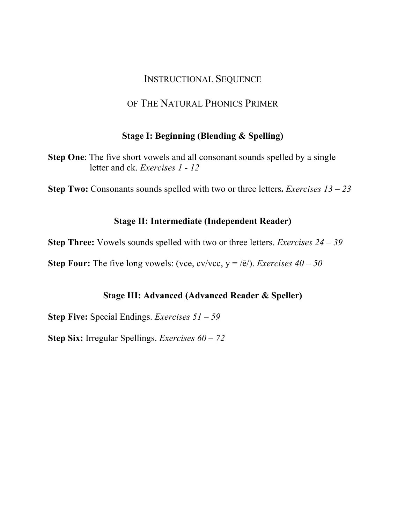### INSTRUCTIONAL SEQUENCE

### OF THE NATURAL PHONICS PRIMER

#### **Stage I: Beginning (Blending & Spelling)**

**Step One**: The five short vowels and all consonant sounds spelled by a single letter and ck. *Exercises 1 - 12*

**Step Two:** Consonants sounds spelled with two or three letters**.** *Exercises 13 – 23*

#### **Stage II: Intermediate (Independent Reader)**

**Step Three:** Vowels sounds spelled with two or three letters. *Exercises 24 – 39*

**Step Four:** The five long vowels: (vce, cv/vcc,  $y = \sqrt{e}$ ). *Exercises*  $40 - 50$ 

#### **Stage III: Advanced (Advanced Reader & Speller)**

**Step Five:** Special Endings. *Exercises 51 – 59*

**Step Six:** Irregular Spellings. *Exercises 60 – 72*